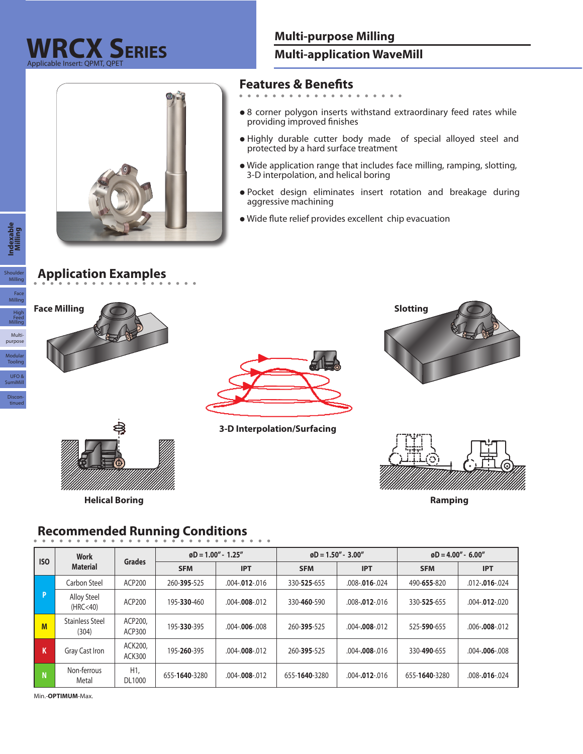

#### **Multi-application WaveMill**

# **Features & Benefits**

- 
- **•** 8 corner polygon inserts withstand extraordinary feed rates while providing improved finishes
- **•** Highly durable cutter body made of special alloyed steel and protected by a hard surface treatment
- **•** Wide application range that includes face milling, ramping, slotting, 3-D interpolation, and helical boring
- **•** Pocket design eliminates insert rotation and breakage during aggressive machining
- **•** Wide flute relief provides excellent chip evacuation

### **Application Examples**









**Helical Boring Ramping**



**3-D Interpolation/Surfacing**



#### **Recommended Running Conditions**

| <b>ISO</b>              | Work<br><b>Material</b>         | <b>Grades</b>            | $\omega$ D = 1.00" - 1.25" |                      |               | $\varphi$ D = 1.50" - 3.00" | $\varphi$ D = 4.00" - 6.00" |                      |  |
|-------------------------|---------------------------------|--------------------------|----------------------------|----------------------|---------------|-----------------------------|-----------------------------|----------------------|--|
|                         |                                 |                          | <b>SFM</b>                 | <b>IPT</b>           | <b>SFM</b>    | <b>IPT</b>                  | <b>SFM</b>                  | <b>IPT</b>           |  |
|                         | Carbon Steel                    | ACP200                   | 260-395-525                | $.004 - .012 - .016$ | 330-525-655   | $.008 - .016 - .024$        | 490-655-820                 | $.012 - .016 - .024$ |  |
| l Pi                    | <b>Alloy Steel</b><br>(HRC<40)  | ACP200                   | 195-330-460                | $.004 - .008 - .012$ | 330-460-590   | $.008 - .012 - .016$        | 330-525-655                 | $.004 - .012 - .020$ |  |
| M                       | <b>Stainless Steel</b><br>(304) | ACP200,<br>ACP300        | 195-330-395                | $.004 - .006 - .008$ | 260-395-525   | $.004 - .008 - .012$        | 525-590-655                 | $.006 - .008 - .012$ |  |
| K                       | Gray Cast Iron                  | ACK200,<br><b>ACK300</b> | 195-260-395                | $.004 - .008 - .012$ | 260-395-525   | $.004 - .008 - .016$        | 330-490-655                 | $.004 - .006 - .008$ |  |
| $\overline{\mathsf{N}}$ | Non-ferrous<br>Metal            | H1,<br>DL1000            | 655-1640-3280              | $.004 - .008 - .012$ | 655-1640-3280 | $.004 - .012 - .016$        | 655-1640-3280               | $.008 - .016 - .024$ |  |

Min.-**OPTIMUM**-Max.

 $\overline{\phantom{a}}$ 

Modular<br>Tooling

Multipurpose

Discon-tinued

UFO & SumiMi

High Feed Milling